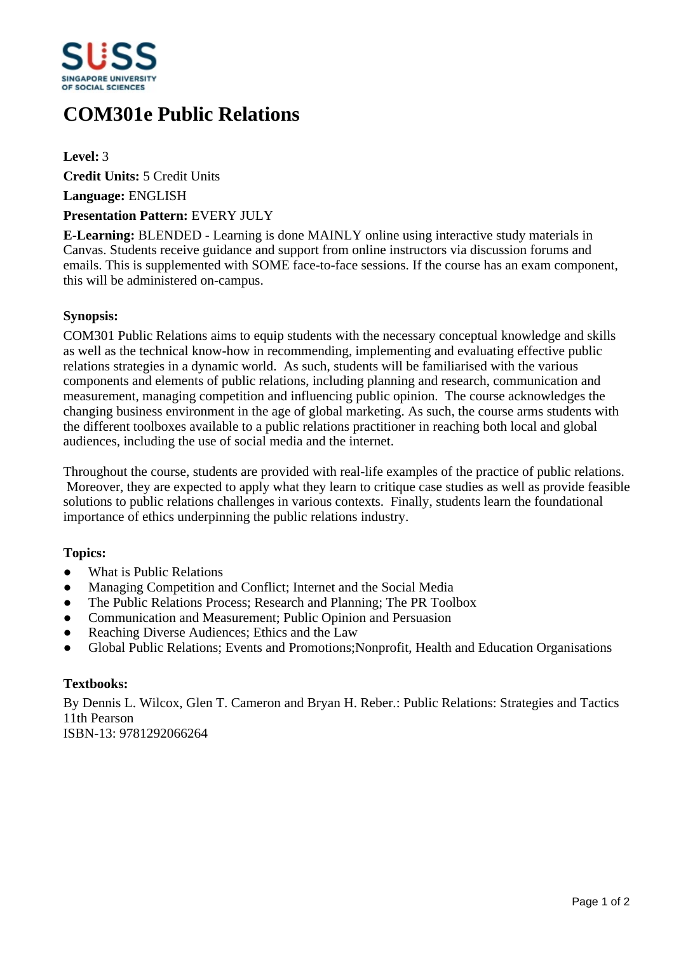

# **COM301e Public Relations**

**Level:** 3

**Credit Units:** 5 Credit Units

**Language:** ENGLISH

## **Presentation Pattern:** EVERY JULY

**E-Learning:** BLENDED - Learning is done MAINLY online using interactive study materials in Canvas. Students receive guidance and support from online instructors via discussion forums and emails. This is supplemented with SOME face-to-face sessions. If the course has an exam component, this will be administered on-campus.

# **Synopsis:**

COM301 Public Relations aims to equip students with the necessary conceptual knowledge and skills as well as the technical know-how in recommending, implementing and evaluating effective public relations strategies in a dynamic world. As such, students will be familiarised with the various components and elements of public relations, including planning and research, communication and measurement, managing competition and influencing public opinion. The course acknowledges the changing business environment in the age of global marketing. As such, the course arms students with the different toolboxes available to a public relations practitioner in reaching both local and global audiences, including the use of social media and the internet.

Throughout the course, students are provided with real-life examples of the practice of public relations. Moreover, they are expected to apply what they learn to critique case studies as well as provide feasible solutions to public relations challenges in various contexts. Finally, students learn the foundational importance of ethics underpinning the public relations industry.

# **Topics:**

- ƔWhat is Public Relations
- ƔManaging Competition and Conflict; Internet and the Social Media
- The Public Relations Process; Research and Planning; The PR Toolbox
- Communication and Measurement; Public Opinion and Persuasion
- Reaching Diverse Audiences; Ethics and the Law
- ƔGlobal Public Relations; Events and Promotions;Nonprofit, Health and Education Organisations

#### **Textbooks:**

By Dennis L. Wilcox, Glen T. Cameron and Bryan H. Reber.: Public Relations: Strategies and Tactics 11th Pearson ISBN-13: 9781292066264